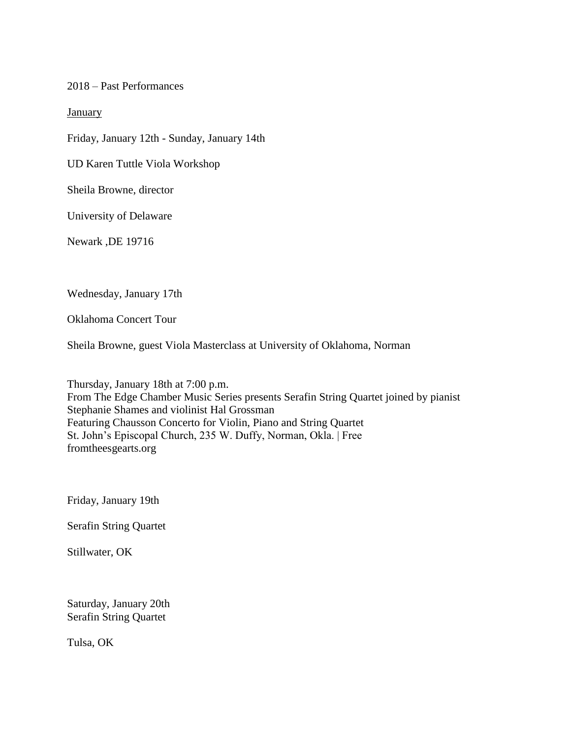2018 – Past Performances

**January** 

Friday, January 12th - Sunday, January 14th

UD Karen Tuttle Viola Workshop

Sheila Browne, director

University of Delaware

Newark ,DE 19716

Wednesday, January 17th

Oklahoma Concert Tour

Sheila Browne, guest Viola Masterclass at University of Oklahoma, Norman

Thursday, January 18th at 7:00 p.m. From The Edge Chamber Music Series presents Serafin String Quartet joined by pianist Stephanie Shames and violinist Hal Grossman Featuring Chausson Concerto for Violin, Piano and String Quartet St. John's Episcopal Church, 235 W. Duffy, Norman, Okla. | Free fromtheesgearts.org

Friday, January 19th

Serafin String Quartet

Stillwater, OK

Saturday, January 20th Serafin String Quartet

Tulsa, OK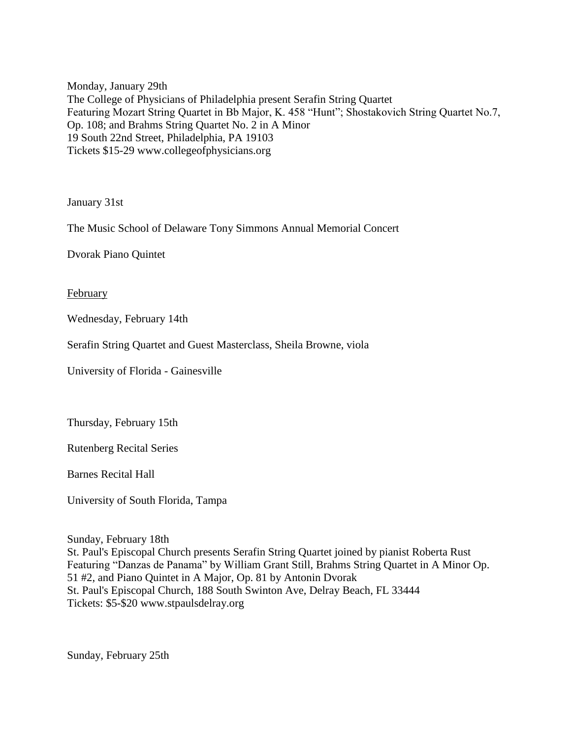Monday, January 29th The College of Physicians of Philadelphia present Serafin String Quartet Featuring Mozart String Quartet in Bb Major, K. 458 "Hunt"; Shostakovich String Quartet No.7, Op. 108; and Brahms String Quartet No. 2 in A Minor 19 South 22nd Street, Philadelphia, PA 19103 Tickets \$15-29 www.collegeofphysicians.org

January 31st

The Music School of Delaware Tony Simmons Annual Memorial Concert

Dvorak Piano Quintet

February

Wednesday, February 14th

Serafin String Quartet and Guest Masterclass, Sheila Browne, viola

University of Florida - Gainesville

Thursday, February 15th

Rutenberg Recital Series

Barnes Recital Hall

University of South Florida, Tampa

Sunday, February 18th St. Paul's Episcopal Church presents Serafin String Quartet joined by pianist Roberta Rust Featuring "Danzas de Panama" by William Grant Still, Brahms String Quartet in A Minor Op. 51 #2, and Piano Quintet in A Major, Op. 81 by Antonin Dvorak St. Paul's Episcopal Church, 188 South Swinton Ave, Delray Beach, FL 33444 Tickets: \$5-\$20 www.stpaulsdelray.org

Sunday, February 25th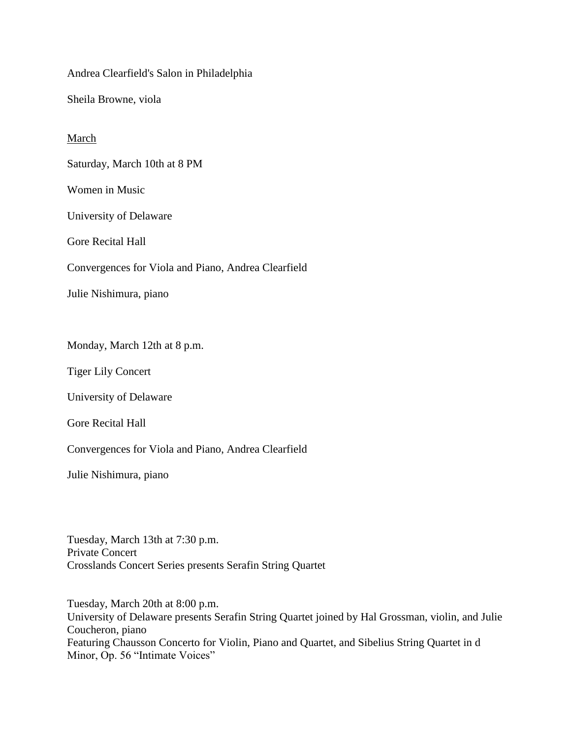Andrea Clearfield's Salon in Philadelphia

Sheila Browne, viola

# March

Saturday, March 10th at 8 PM

Women in Music

University of Delaware

Gore Recital Hall

Convergences for Viola and Piano, Andrea Clearfield

Julie Nishimura, piano

Monday, March 12th at 8 p.m.

Tiger Lily Concert

University of Delaware

Gore Recital Hall

Convergences for Viola and Piano, Andrea Clearfield

Julie Nishimura, piano

Tuesday, March 13th at 7:30 p.m. Private Concert Crosslands Concert Series presents Serafin String Quartet

Tuesday, March 20th at 8:00 p.m. University of Delaware presents Serafin String Quartet joined by Hal Grossman, violin, and Julie Coucheron, piano Featuring Chausson Concerto for Violin, Piano and Quartet, and Sibelius String Quartet in d Minor, Op. 56 "Intimate Voices"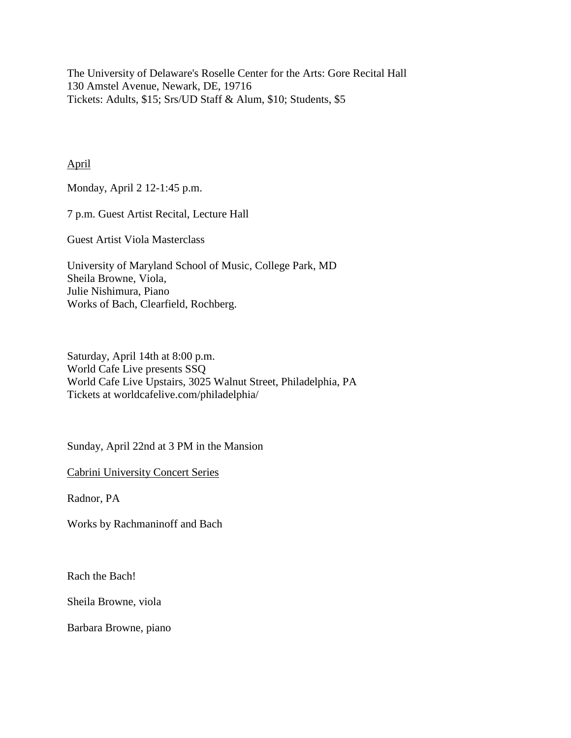The University of Delaware's Roselle Center for the Arts: Gore Recital Hall 130 Amstel Avenue, Newark, DE, 19716 Tickets: Adults, \$15; Srs/UD Staff & Alum, \$10; Students, \$5

April

Monday, April 2 12-1:45 p.m.

7 p.m. Guest Artist Recital, Lecture Hall

Guest Artist Viola Masterclass

University of Maryland School of Music, College Park, MD Sheila Browne, Viola, Julie Nishimura, Piano Works of Bach, Clearfield, Rochberg.

Saturday, April 14th at 8:00 p.m. World Cafe Live presents SSQ World Cafe Live Upstairs, 3025 Walnut Street, Philadelphia, PA Tickets at worldcafelive.com/philadelphia/

Sunday, April 22nd at 3 PM in the Mansion

Cabrini University Concert Series

Radnor, PA

Works by Rachmaninoff and Bach

Rach the Bach!

Sheila Browne, viola

Barbara Browne, piano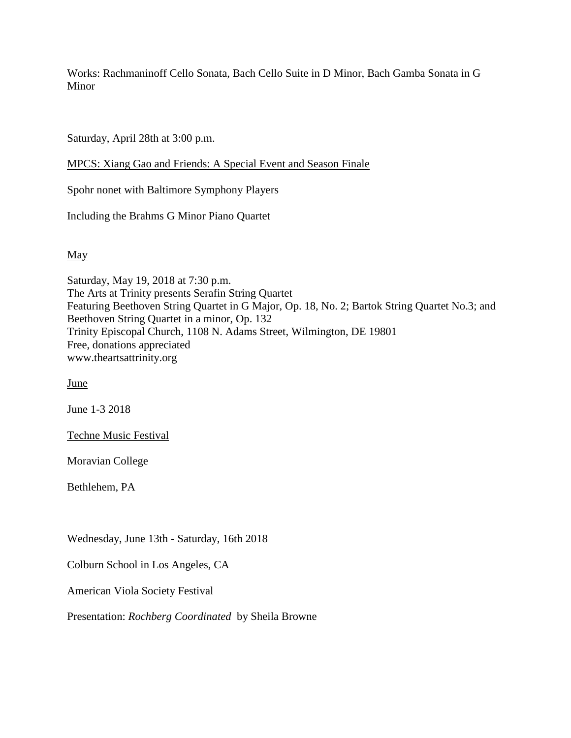Works: Rachmaninoff Cello Sonata, Bach Cello Suite in D Minor, Bach Gamba Sonata in G Minor

Saturday, April 28th at 3:00 p.m.

MPCS: Xiang Gao and Friends: A Special Event and Season Finale

Spohr nonet with Baltimore Symphony Players

Including the Brahms G Minor Piano Quartet

May

Saturday, May 19, 2018 at 7:30 p.m. The Arts at Trinity presents Serafin String Quartet Featuring Beethoven String Quartet in G Major, Op. 18, No. 2; Bartok String Quartet No.3; and Beethoven String Quartet in a minor, Op. 132 Trinity Episcopal Church, 1108 N. Adams Street, Wilmington, DE 19801 Free, donations appreciated www.theartsattrinity.org

June

June 1-3 2018

Techne Music Festival

Moravian College

Bethlehem, PA

Wednesday, June 13th - Saturday, 16th 2018

Colburn School in Los Angeles, CA

American Viola Society Festival

Presentation: *Rochberg Coordinated* by Sheila Browne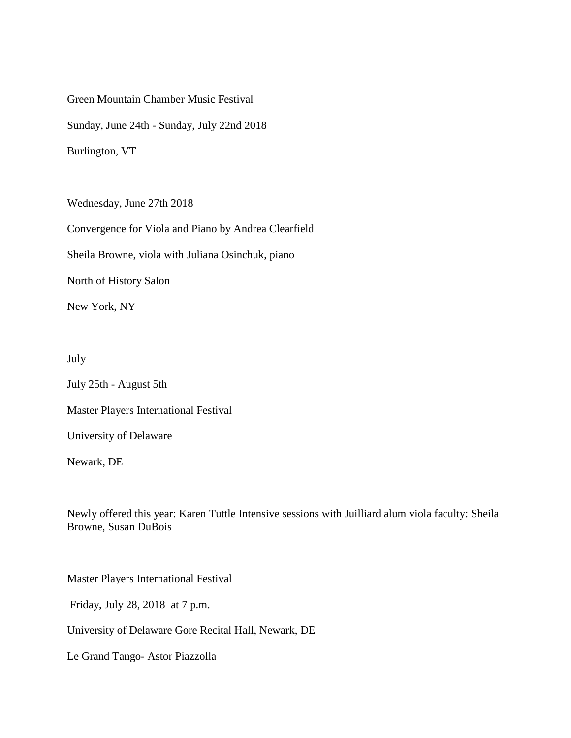Green Mountain Chamber Music Festival Sunday, June 24th - Sunday, July 22nd 2018 Burlington, VT

Wednesday, June 27th 2018

Convergence for Viola and Piano by Andrea Clearfield

Sheila Browne, viola with Juliana Osinchuk, piano

North of History Salon

New York, NY

## July

July 25th - August 5th Master Players International Festival University of Delaware Newark, DE

Newly offered this year: Karen Tuttle Intensive sessions with Juilliard alum viola faculty: Sheila Browne, Susan DuBois

Master Players International Festival

Friday, July 28, 2018 at 7 p.m.

University of Delaware Gore Recital Hall, Newark, DE

Le Grand Tango- Astor Piazzolla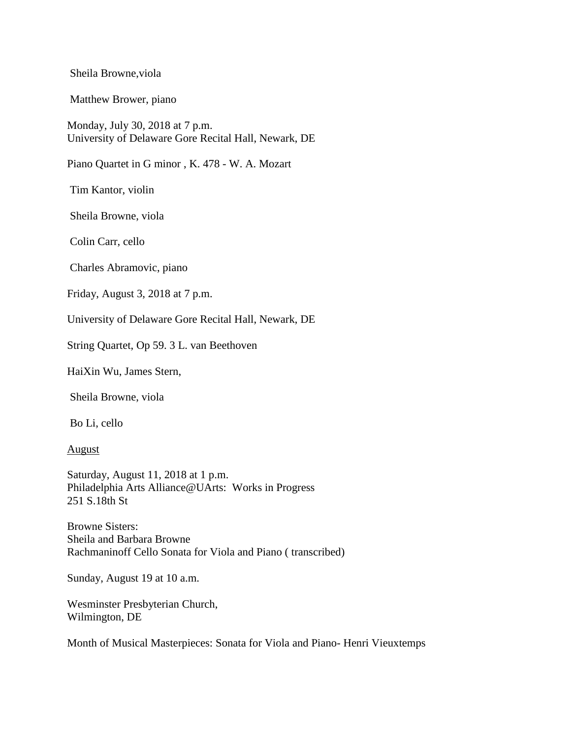Sheila Browne,viola

Matthew Brower, piano

Monday, July 30, 2018 at 7 p.m. University of Delaware Gore Recital Hall, Newark, DE

Piano Quartet in G minor , K. 478 - W. A. Mozart

Tim Kantor, violin

Sheila Browne, viola

Colin Carr, cello

Charles Abramovic, piano

Friday, August 3, 2018 at 7 p.m.

University of Delaware Gore Recital Hall, Newark, DE

String Quartet, Op 59. 3 L. van Beethoven

HaiXin Wu, James Stern,

Sheila Browne, viola

Bo Li, cello

August

Saturday, August 11, 2018 at 1 p.m. Philadelphia Arts Alliance@UArts: Works in Progress 251 S.18th St

Browne Sisters: Sheila and Barbara Browne Rachmaninoff Cello Sonata for Viola and Piano ( transcribed)

Sunday, August 19 at 10 a.m.

Wesminster Presbyterian Church, Wilmington, DE

Month of Musical Masterpieces: Sonata for Viola and Piano- Henri Vieuxtemps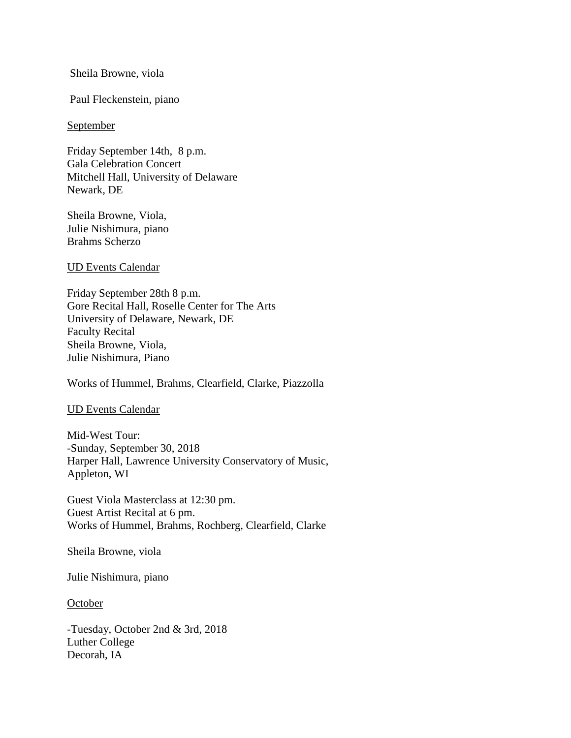Sheila Browne, viola

Paul Fleckenstein, piano

#### **September**

Friday September 14th, 8 p.m. Gala Celebration Concert Mitchell Hall, University of Delaware Newark, DE

Sheila Browne, Viola, Julie Nishimura, piano Brahms Scherzo

UD Events Calendar

Friday September 28th 8 p.m. Gore Recital Hall, Roselle Center for The Arts University of Delaware, Newark, DE Faculty Recital Sheila Browne, Viola, Julie Nishimura, Piano

Works of Hummel, Brahms, Clearfield, Clarke, Piazzolla

UD Events Calendar

Mid-West Tour: -Sunday, September 30, 2018 Harper Hall, Lawrence University Conservatory of Music, Appleton, WI

Guest Viola Masterclass at 12:30 pm. Guest Artist Recital at 6 pm. Works of Hummel, Brahms, Rochberg, Clearfield, Clarke

Sheila Browne, viola

Julie Nishimura, piano

October

-Tuesday, October 2nd & 3rd, 2018 Luther College Decorah, IA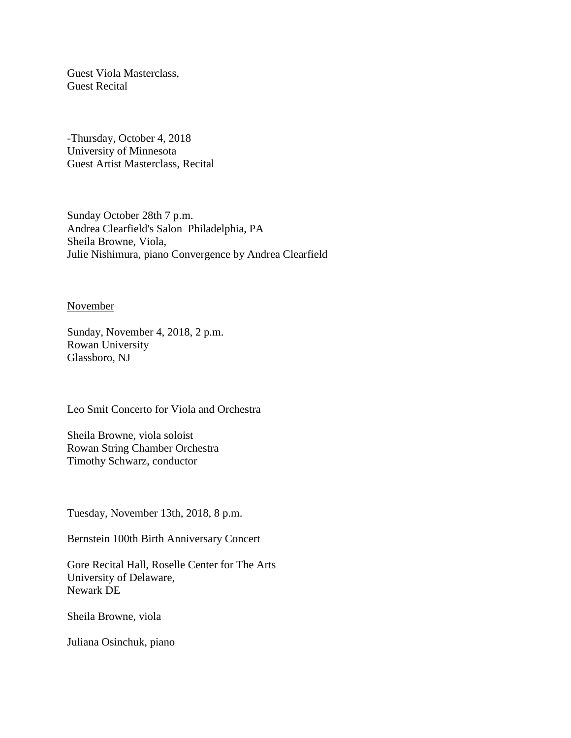Guest Viola Masterclass, Guest Recital

-Thursday, October 4, 2018 University of Minnesota Guest Artist Masterclass, Recital

Sunday October 28th 7 p.m. Andrea Clearfield's Salon Philadelphia, PA Sheila Browne, Viola, Julie Nishimura, piano Convergence by Andrea Clearfield

November

Sunday, November 4, 2018, 2 p.m. Rowan University Glassboro, NJ

Leo Smit Concerto for Viola and Orchestra

Sheila Browne, viola soloist Rowan String Chamber Orchestra Timothy Schwarz, conductor

Tuesday, November 13th, 2018, 8 p.m.

Bernstein 100th Birth Anniversary Concert

Gore Recital Hall, Roselle Center for The Arts University of Delaware, Newark DE

Sheila Browne, viola

Juliana Osinchuk, piano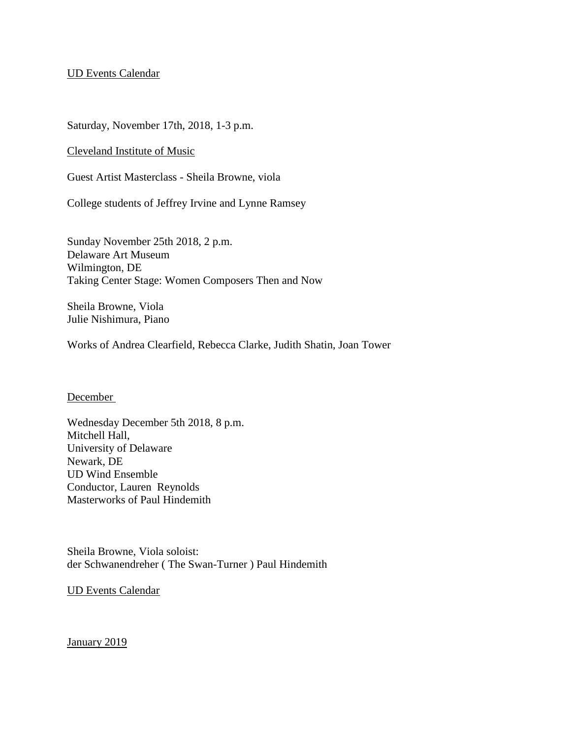## UD Events Calendar

Saturday, November 17th, 2018, 1-3 p.m.

Cleveland Institute of Music

Guest Artist Masterclass - Sheila Browne, viola

College students of Jeffrey Irvine and Lynne Ramsey

Sunday November 25th 2018, 2 p.m. Delaware Art Museum Wilmington, DE Taking Center Stage: Women Composers Then and Now

Sheila Browne, Viola Julie Nishimura, Piano

Works of Andrea Clearfield, Rebecca Clarke, Judith Shatin, Joan Tower

## December

Wednesday December 5th 2018, 8 p.m. Mitchell Hall, University of Delaware Newark, DE UD Wind Ensemble Conductor, Lauren Reynolds Masterworks of Paul Hindemith

Sheila Browne, Viola soloist: der Schwanendreher ( The Swan-Turner ) Paul Hindemith

UD Events Calendar

January 2019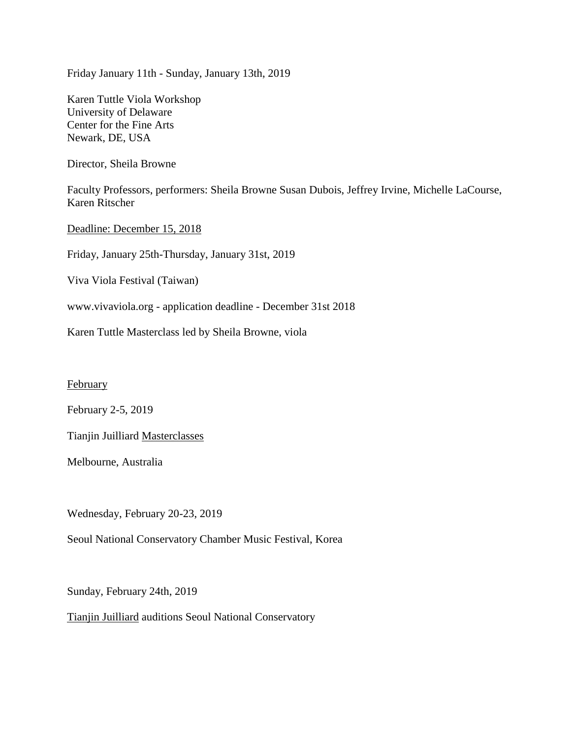Friday January 11th - Sunday, January 13th, 2019

Karen Tuttle Viola Workshop University of Delaware Center for the Fine Arts Newark, DE, USA

Director, Sheila Browne

Faculty Professors, performers: Sheila Browne Susan Dubois, Jeffrey Irvine, Michelle LaCourse, Karen Ritscher

Deadline: December 15, 2018

Friday, January 25th-Thursday, January 31st, 2019

Viva Viola Festival (Taiwan)

www.vivaviola.org - application deadline - December 31st 2018

Karen Tuttle Masterclass led by Sheila Browne, viola

**February** 

February 2-5, 2019

Tianjin Juilliard Masterclasses

Melbourne, Australia

Wednesday, February 20-23, 2019

Seoul National Conservatory Chamber Music Festival, Korea

Sunday, February 24th, 2019

Tianjin Juilliard auditions Seoul National Conservatory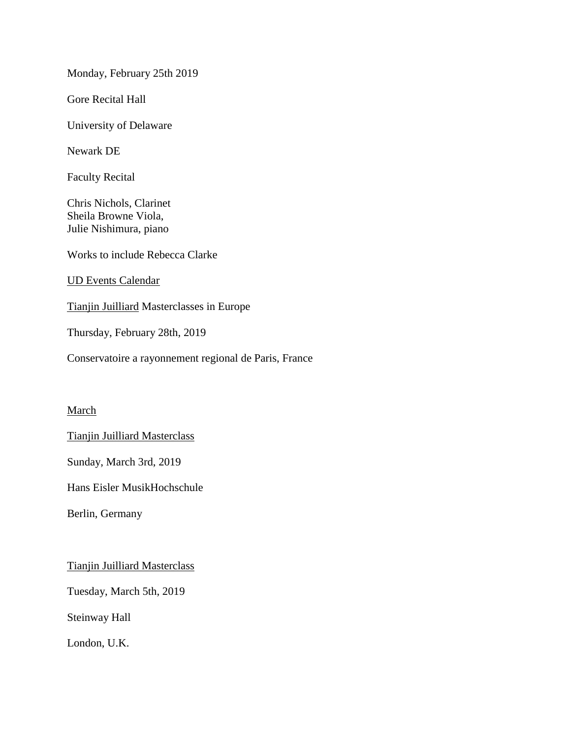Monday, February 25th 2019

Gore Recital Hall

University of Delaware

Newark DE

Faculty Recital

Chris Nichols, Clarinet Sheila Browne Viola, Julie Nishimura, piano

Works to include Rebecca Clarke

UD Events Calendar

Tianjin Juilliard Masterclasses in Europe

Thursday, February 28th, 2019

Conservatoire a rayonnement regional de Paris, France

## March

Tianjin Juilliard Masterclass

Sunday, March 3rd, 2019

Hans Eisler MusikHochschule

Berlin, Germany

Tianjin Juilliard Masterclass

Tuesday, March 5th, 2019

Steinway Hall

London, U.K.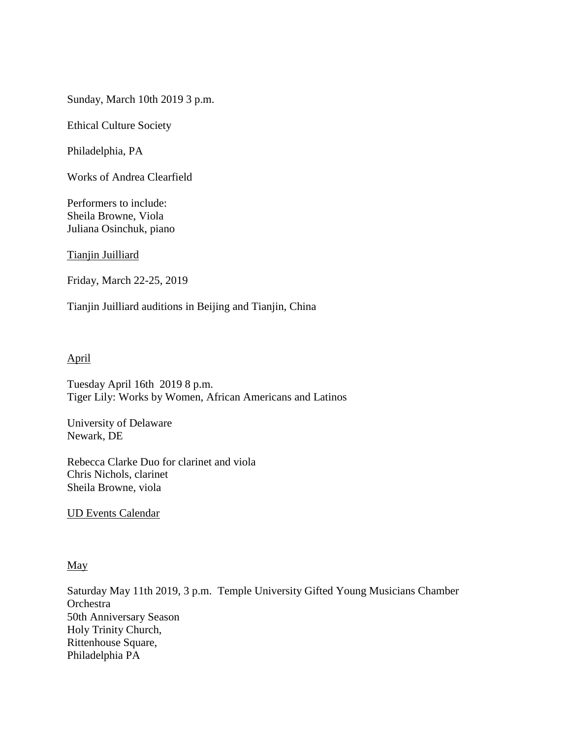Sunday, March 10th 2019 3 p.m.

Ethical Culture Society

Philadelphia, PA

Works of Andrea Clearfield

Performers to include: Sheila Browne, Viola Juliana Osinchuk, piano

Tianjin Juilliard

Friday, March 22-25, 2019

Tianjin Juilliard auditions in Beijing and Tianjin, China

## April

Tuesday April 16th 2019 8 p.m. Tiger Lily: Works by Women, African Americans and Latinos

University of Delaware Newark, DE

Rebecca Clarke Duo for clarinet and viola Chris Nichols, clarinet Sheila Browne, viola

UD Events Calendar

#### May

Saturday May 11th 2019, 3 p.m. Temple University Gifted Young Musicians Chamber **Orchestra** 50th Anniversary Season Holy Trinity Church, Rittenhouse Square, Philadelphia PA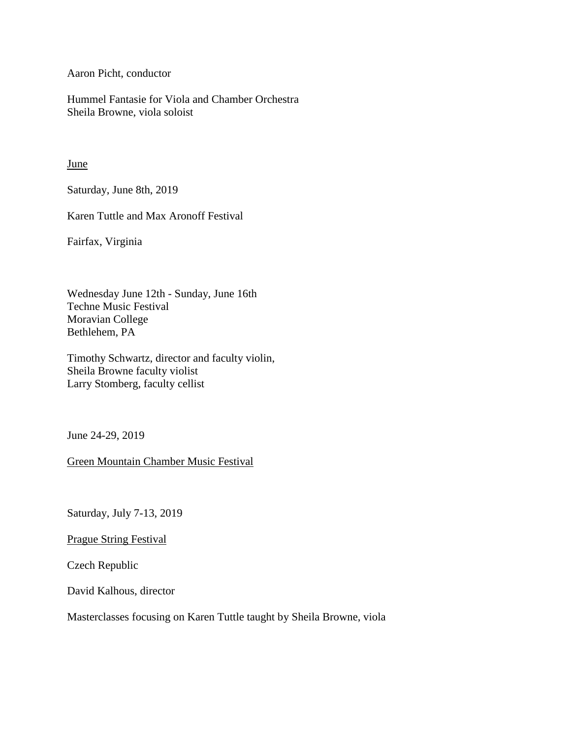Aaron Picht, conductor

Hummel Fantasie for Viola and Chamber Orchestra Sheila Browne, viola soloist

**June** 

Saturday, June 8th, 2019

Karen Tuttle and Max Aronoff Festival

Fairfax, Virginia

Wednesday June 12th - Sunday, June 16th Techne Music Festival Moravian College Bethlehem, PA

Timothy Schwartz, director and faculty violin, Sheila Browne faculty violist Larry Stomberg, faculty cellist

June 24-29, 2019

Green Mountain Chamber Music Festival

Saturday, July 7-13, 2019

Prague String Festival

Czech Republic

David Kalhous, director

Masterclasses focusing on Karen Tuttle taught by Sheila Browne, viola